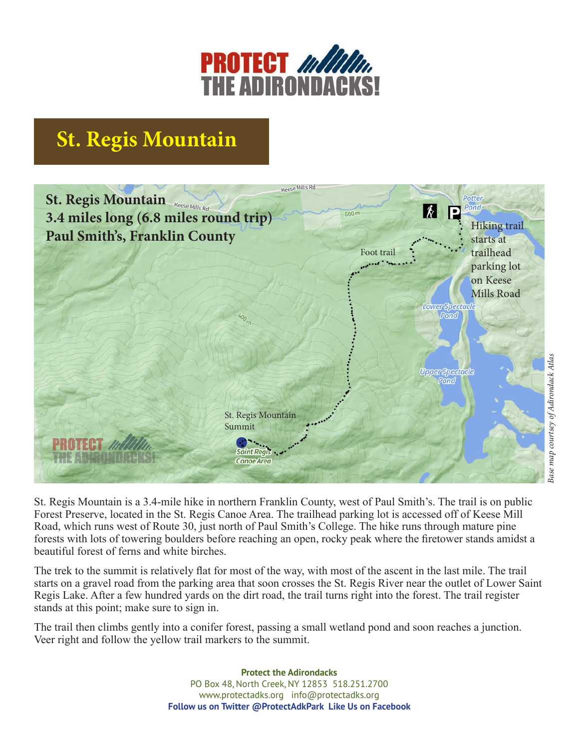

## **St. Regis Mountain**



St. Regis Mountain is a 3.4-mile hike in northern Franklin County, west of Paul Smith's. The trail is on public Forest Preserve, located in the St. Regis Canoe Area. The trailhead parking lot is accessed off of Keese Mill Road, which runs west of Route 30, just north of Paul Smith's College. The hike runs through mature pine forests with lots of towering boulders before reaching an open, rocky peak where the firetower stands amidst a beautiful forest of ferns and white birches.

The trek to the summit is relatively flat for most of the way, with most of the ascent in the last mile. The trail starts on a gravel road from the parking area that soon crosses the St. Regis River near the outlet of Lower Saint Regis Lake. After a few hundred yards on the dirt road, the trail turns right into the forest. The trail register stands at this point; make sure to sign in.

The trail then climbs gently into a conifer forest, passing a small wetland pond and soon reaches a junction. Veer right and follow the yellow trail markers to the summit.

> **Protect the Adirondacks** PO Box 48, North Creek, NY 12853 518.251.2700 www.protectadks.org info@protectadks.org **Follow us on Twitter @ProtectAdkPark Like Us on Facebook**

## Base map courtsey of Adirondack Atlas *Base map courtsey of Adirondack Atlas*